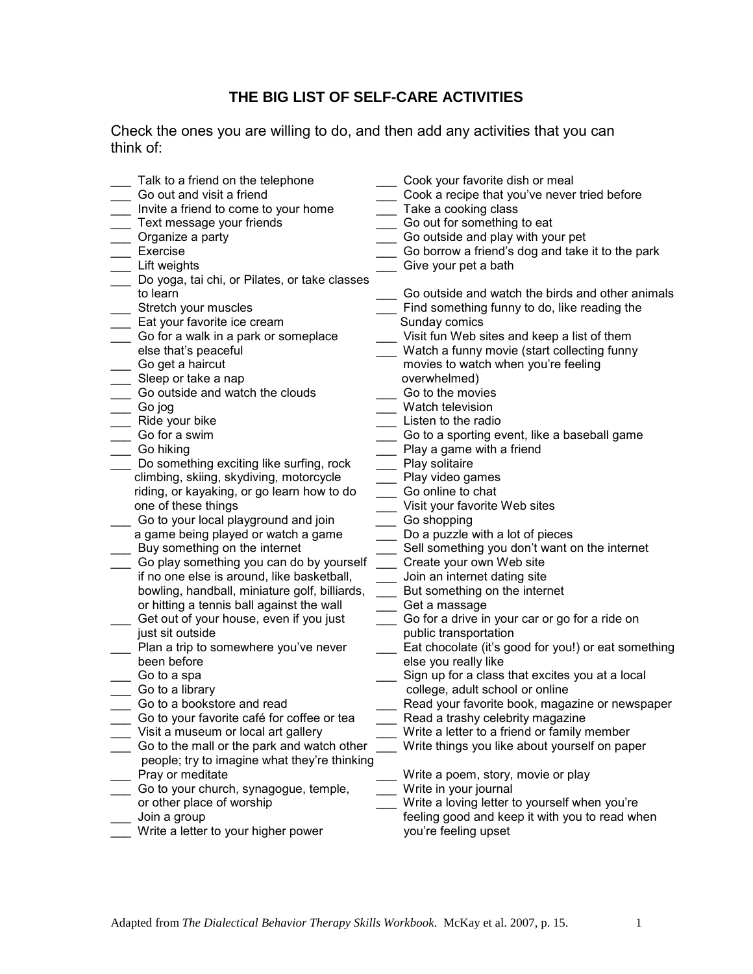## **THE BIG LIST OF SELF-CARE ACTIVITIES**

Check the ones you are willing to do, and then add any activities that you can think of:

| Talk to a friend on the telephone             | Cook your favorite dish or meal                     |
|-----------------------------------------------|-----------------------------------------------------|
|                                               |                                                     |
| Go out and visit a friend                     | Cook a recipe that you've never tried before        |
| Invite a friend to come to your home          | Take a cooking class                                |
| Text message your friends                     | Go out for something to eat                         |
| Organize a party                              | Go outside and play with your pet                   |
| Exercise                                      | Go borrow a friend's dog and take it to the park    |
| Lift weights                                  | Give your pet a bath                                |
| Do yoga, tai chi, or Pilates, or take classes |                                                     |
| to learn                                      | Go outside and watch the birds and other animals    |
| Stretch your muscles                          | Find something funny to do, like reading the        |
| Eat your favorite ice cream                   | Sunday comics                                       |
| Go for a walk in a park or someplace          | Visit fun Web sites and keep a list of them         |
| else that's peaceful                          | Watch a funny movie (start collecting funny         |
| Go get a haircut                              | movies to watch when you're feeling                 |
|                                               |                                                     |
| Sleep or take a nap                           | overwhelmed)                                        |
| Go outside and watch the clouds               | Go to the movies                                    |
| Go jog                                        | Watch television                                    |
| Ride your bike                                | Listen to the radio                                 |
| Go for a swim                                 | Go to a sporting event, like a baseball game        |
| Go hiking                                     | Play a game with a friend                           |
| Do something exciting like surfing, rock      | Play solitaire                                      |
| climbing, skiing, skydiving, motorcycle       | Play video games                                    |
| riding, or kayaking, or go learn how to do    | Go online to chat                                   |
| one of these things                           | Visit your favorite Web sites                       |
| Go to your local playground and join          | Go shopping                                         |
| a game being played or watch a game           | Do a puzzle with a lot of pieces                    |
| Buy something on the internet                 | Sell something you don't want on the internet       |
| Go play something you can do by yourself      | Create your own Web site                            |
| if no one else is around, like basketball,    | Join an internet dating site                        |
| bowling, handball, miniature golf, billiards, | But something on the internet                       |
| or hitting a tennis ball against the wall     | Get a massage                                       |
| Get out of your house, even if you just       | Go for a drive in your car or go for a ride on      |
| just sit outside                              | public transportation                               |
|                                               |                                                     |
| Plan a trip to somewhere you've never         | Eat chocolate (it's good for you!) or eat something |
| been before                                   | else you really like                                |
| Go to a spa                                   | Sign up for a class that excites you at a local     |
| Go to a library                               | college, adult school or online                     |
| Go to a bookstore and read                    | Read your favorite book, magazine or newspaper      |
| Go to your favorite café for coffee or tea    | Read a trashy celebrity magazine                    |
| Visit a museum or local art gallery           | Write a letter to a friend or family member         |
| Go to the mall or the park and watch other    | Write things you like about yourself on paper       |
| people; try to imagine what they're thinking  |                                                     |
| Pray or meditate                              | Write a poem, story, movie or play                  |
| Go to your church, synagogue, temple,         | Write in your journal                               |
| or other place of worship                     | Write a loving letter to yourself when you're       |
| Join a group                                  | feeling good and keep it with you to read when      |
| Write a letter to your higher power           | you're feeling upset                                |